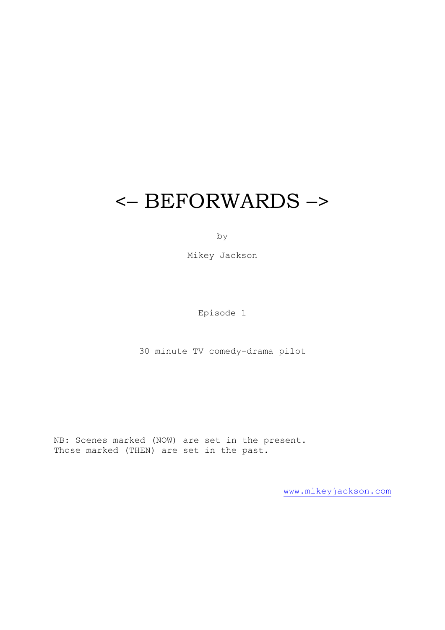# <– BEFORWARDS –>

by

Mikey Jackson

Episode 1

30 minute TV comedy-drama pilot

NB: Scenes marked (NOW) are set in the present. Those marked (THEN) are set in the past.

[www.mikeyjackson.com](http://www.mikeyjackson.com/)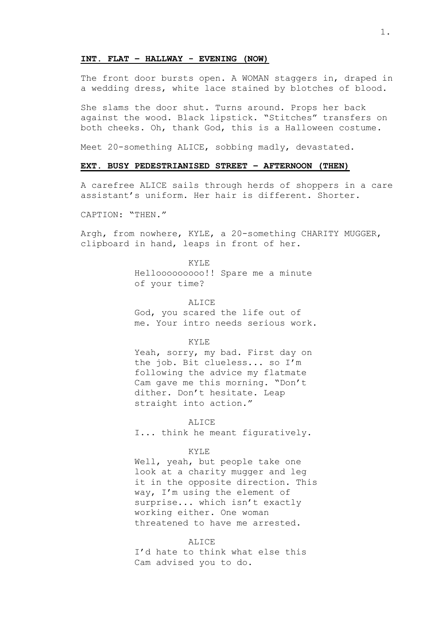#### **INT. FLAT – HALLWAY - EVENING (NOW)**

The front door bursts open. A WOMAN staggers in, draped in a wedding dress, white lace stained by blotches of blood.

She slams the door shut. Turns around. Props her back against the wood. Black lipstick. "Stitches" transfers on both cheeks. Oh, thank God, this is a Halloween costume.

Meet 20-something ALICE, sobbing madly, devastated.

#### **EXT. BUSY PEDESTRIANISED STREET – AFTERNOON (THEN)**

A carefree ALICE sails through herds of shoppers in a care assistant's uniform. Her hair is different. Shorter.

CAPTION: "THEN."

Argh, from nowhere, KYLE, a 20-something CHARITY MUGGER, clipboard in hand, leaps in front of her.

> KYLE Hellooooooooo!! Spare me a minute of your time?

> > ALICE

God, you scared the life out of me. Your intro needs serious work.

KYLE

Yeah, sorry, my bad. First day on the job. Bit clueless... so I'm following the advice my flatmate Cam gave me this morning. "Don't dither. Don't hesitate. Leap straight into action."

**ALICE** 

I... think he meant figuratively.

#### KYLE

Well, yeah, but people take one look at a charity mugger and leg it in the opposite direction. This way, I'm using the element of surprise... which isn't exactly working either. One woman threatened to have me arrested.

ALICE

I'd hate to think what else this Cam advised you to do.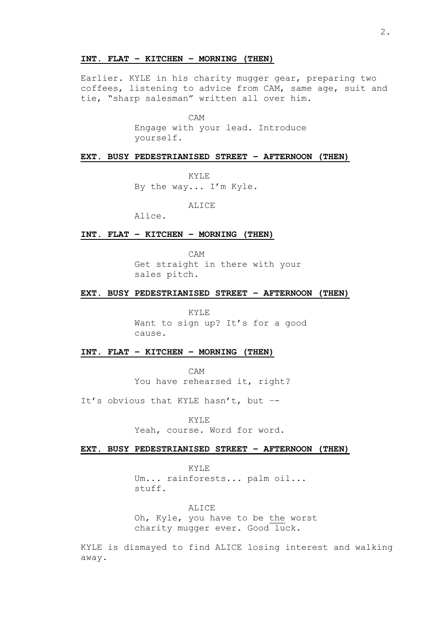## **INT. FLAT – KITCHEN – MORNING (THEN)**

Earlier. KYLE in his charity mugger gear, preparing two coffees, listening to advice from CAM, same age, suit and tie, "sharp salesman" written all over him.

CAM

Engage with your lead. Introduce yourself.

#### **EXT. BUSY PEDESTRIANISED STREET – AFTERNOON (THEN)**

KYLE

By the way... I'm Kyle.

ALICE

Alice.

#### **INT. FLAT – KITCHEN – MORNING (THEN)**

CAM

Get straight in there with your sales pitch.

## **EXT. BUSY PEDESTRIANISED STREET – AFTERNOON (THEN)**

KYLE Want to sign up? It's for a good cause.

## **INT. FLAT – KITCHEN – MORNING (THEN)**

CAM You have rehearsed it, right?

It's obvious that KYLE hasn't, but –-

KYLE

Yeah, course. Word for word.

#### **EXT. BUSY PEDESTRIANISED STREET – AFTERNOON (THEN)**

KYLE Um... rainforests... palm oil... stuff.

ALICE Oh, Kyle, you have to be the worst charity mugger ever. Good luck.

KYLE is dismayed to find ALICE losing interest and walking away.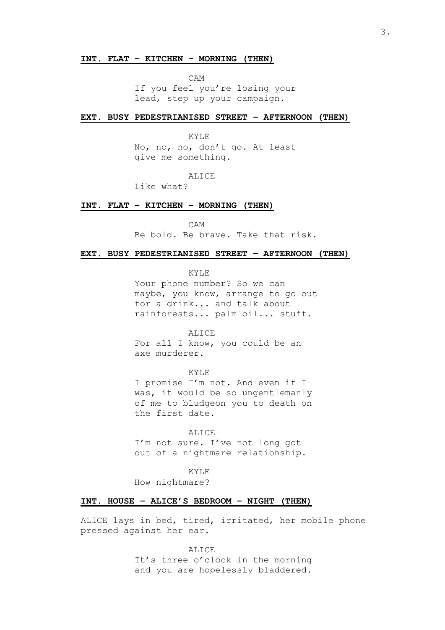#### **INT. FLAT – KITCHEN – MORNING (THEN)**

CAM

If you feel you're losing your lead, step up your campaign.

#### **EXT. BUSY PEDESTRIANISED STREET – AFTERNOON (THEN)**

KYLE

No, no, no, don't go. At least give me something.

## ALICE

Like what?

## **INT. FLAT – KITCHEN – MORNING (THEN)**

CAM Be bold. Be brave. Take that risk.

# **EXT. BUSY PEDESTRIANISED STREET – AFTERNOON (THEN)**

KYLE

Your phone number? So we can maybe, you know, arrange to go out for a drink... and talk about rainforests... palm oil... stuff.

**ALICE** For all I know, you could be an axe murderer.

KYLE I promise I'm not. And even if I was, it would be so ungentlemanly of me to bludgeon you to death on the first date.

ALICE I'm not sure. I've not long got out of a nightmare relationship.

KYLE

How nightmare?

#### **INT. HOUSE – ALICE'S BEDROOM – NIGHT (THEN)**

ALICE lays in bed, tired, irritated, her mobile phone pressed against her ear.

> ALICE It's three o'clock in the morning and you are hopelessly bladdered.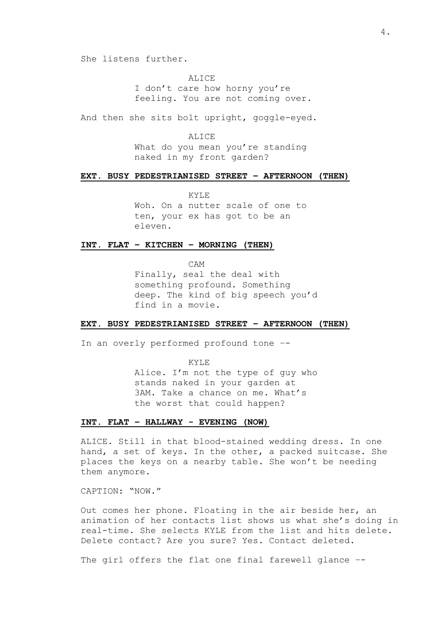She listens further.

ALICE I don't care how horny you're feeling. You are not coming over.

And then she sits bolt upright, goggle-eyed.

**ALICE** What do you mean you're standing naked in my front garden?

## **EXT. BUSY PEDESTRIANISED STREET – AFTERNOON (THEN)**

KYLE Woh. On a nutter scale of one to ten, your ex has got to be an eleven.

#### **INT. FLAT – KITCHEN – MORNING (THEN)**

CAM Finally, seal the deal with something profound. Something deep. The kind of big speech you'd find in a movie.

#### **EXT. BUSY PEDESTRIANISED STREET – AFTERNOON (THEN)**

In an overly performed profound tone –-

KYLE Alice. I'm not the type of guy who stands naked in your garden at 3AM. Take a chance on me. What's the worst that could happen?

## **INT. FLAT – HALLWAY - EVENING (NOW)**

ALICE. Still in that blood-stained wedding dress. In one hand, a set of keys. In the other, a packed suitcase. She places the keys on a nearby table. She won't be needing them anymore.

CAPTION: "NOW."

Out comes her phone. Floating in the air beside her, an animation of her contacts list shows us what she's doing in real-time. She selects KYLE from the list and hits delete. Delete contact? Are you sure? Yes. Contact deleted.

The girl offers the flat one final farewell glance --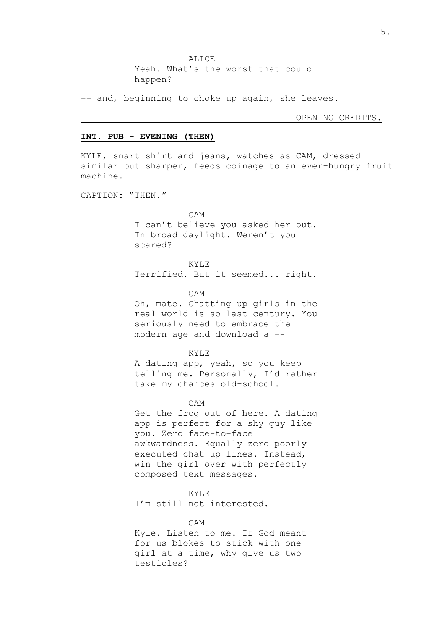ALICE Yeah. What's the worst that could happen?

–– and, beginning to choke up again, she leaves.

OPENING CREDITS.

## **INT. PUB - EVENING (THEN)**

KYLE, smart shirt and jeans, watches as CAM, dressed similar but sharper, feeds coinage to an ever-hungry fruit machine.

CAPTION: "THEN."

CAM I can't believe you asked her out. In broad daylight. Weren't you scared?

KYLE Terrified. But it seemed... right.

CAM

Oh, mate. Chatting up girls in the real world is so last century. You seriously need to embrace the modern age and download a –-

KYLE

A dating app, yeah, so you keep telling me. Personally, I'd rather take my chances old-school.

CAM

Get the frog out of here. A dating app is perfect for a shy guy like you. Zero face-to-face awkwardness. Equally zero poorly executed chat-up lines. Instead, win the girl over with perfectly composed text messages.

KYLE

I'm still not interested.

CAM

Kyle. Listen to me. If God meant for us blokes to stick with one girl at a time, why give us two testicles?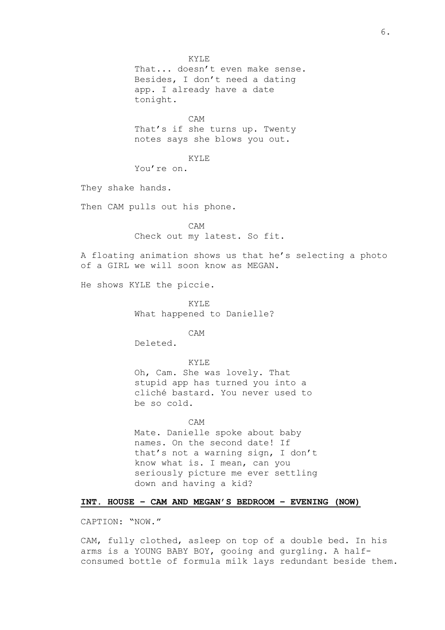KYLE That... doesn't even make sense. Besides, I don't need a dating app. I already have a date tonight.

CAM

That's if she turns up. Twenty notes says she blows you out.

#### KYLE

You're on.

They shake hands.

Then CAM pulls out his phone.

CAM Check out my latest. So fit.

A floating animation shows us that he's selecting a photo of a GIRL we will soon know as MEGAN.

He shows KYLE the piccie.

KYLE What happened to Danielle?

CAM

Deleted.

KYLE Oh, Cam. She was lovely. That stupid app has turned you into a cliché bastard. You never used to be so cold.

CAM Mate. Danielle spoke about baby names. On the second date! If that's not a warning sign, I don't know what is. I mean, can you seriously picture me ever settling down and having a kid?

## **INT. HOUSE – CAM AND MEGAN'S BEDROOM – EVENING (NOW)**

CAPTION: "NOW."

CAM, fully clothed, asleep on top of a double bed. In his arms is a YOUNG BABY BOY, gooing and gurgling. A halfconsumed bottle of formula milk lays redundant beside them.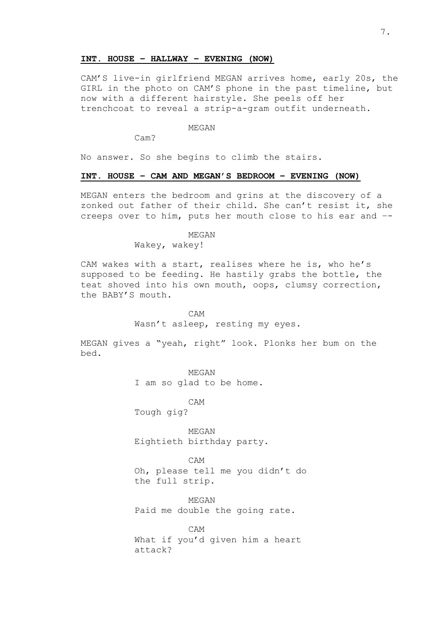#### **INT. HOUSE – HALLWAY – EVENING (NOW)**

CAM'S live-in girlfriend MEGAN arrives home, early 20s, the GIRL in the photo on CAM'S phone in the past timeline, but now with a different hairstyle. She peels off her trenchcoat to reveal a strip-a-gram outfit underneath.

## MEGAN

Cam?

No answer. So she begins to climb the stairs.

## **INT. HOUSE – CAM AND MEGAN'S BEDROOM – EVENING (NOW)**

MEGAN enters the bedroom and grins at the discovery of a zonked out father of their child. She can't resist it, she creeps over to him, puts her mouth close to his ear and –-

MEGAN

Wakey, wakey!

CAM wakes with a start, realises where he is, who he's supposed to be feeding. He hastily grabs the bottle, the teat shoved into his own mouth, oops, clumsy correction, the BABY'S mouth.

> CAM Wasn't asleep, resting my eyes.

MEGAN gives a "yeah, right" look. Plonks her bum on the bed.

> MEGAN I am so glad to be home.

> > CAM

Tough gig?

MEGAN Eightieth birthday party.

CAM Oh, please tell me you didn't do the full strip.

MEGAN Paid me double the going rate.

CAM What if you'd given him a heart attack?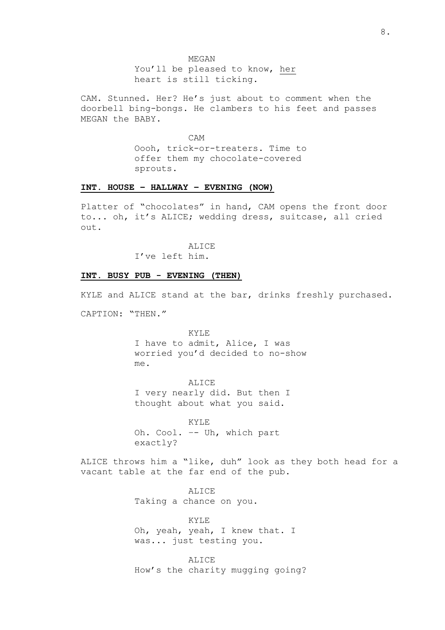You'll be pleased to know, her heart is still ticking.

CAM. Stunned. Her? He's just about to comment when the doorbell bing-bongs. He clambers to his feet and passes MEGAN the BABY.

> CAM Oooh, trick-or-treaters. Time to offer them my chocolate-covered sprouts.

## **INT. HOUSE – HALLWAY – EVENING (NOW)**

Platter of "chocolates" in hand, CAM opens the front door to... oh, it's ALICE; wedding dress, suitcase, all cried out.

ALICE

I've left him.

## **INT. BUSY PUB - EVENING (THEN)**

KYLE and ALICE stand at the bar, drinks freshly purchased.

CAPTION: "THEN."

KYLE I have to admit, Alice, I was worried you'd decided to no-show me.

ALICE I very nearly did. But then I thought about what you said.

KYLE Oh. Cool. –- Uh, which part exactly?

ALICE throws him a "like, duh" look as they both head for a vacant table at the far end of the pub.

> ALICE Taking a chance on you.

KYLE Oh, yeah, yeah, I knew that. I was... just testing you.

ALICE How's the charity mugging going?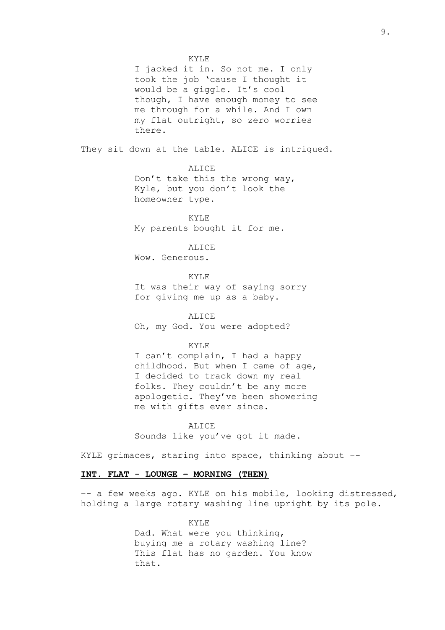KYLE I jacked it in. So not me. I only took the job 'cause I thought it would be a giggle. It's cool though, I have enough money to see me through for a while. And I own my flat outright, so zero worries there. They sit down at the table. ALICE is intrigued. ALICE Don't take this the wrong way, Kyle, but you don't look the homeowner type. KYLE My parents bought it for me. ALICE Wow. Generous. KYLE It was their way of saying sorry for giving me up as a baby. ALICE Oh, my God. You were adopted? KYLE I can't complain, I had a happy childhood. But when I came of age, I decided to track down my real folks. They couldn't be any more apologetic. They've been showering me with gifts ever since. ALICE

Sounds like you've got it made.

KYLE grimaces, staring into space, thinking about –-

# **INT. FLAT - LOUNGE – MORNING (THEN)**

–- a few weeks ago. KYLE on his mobile, looking distressed, holding a large rotary washing line upright by its pole.

> KYLE Dad. What were you thinking, buying me a rotary washing line? This flat has no garden. You know that.